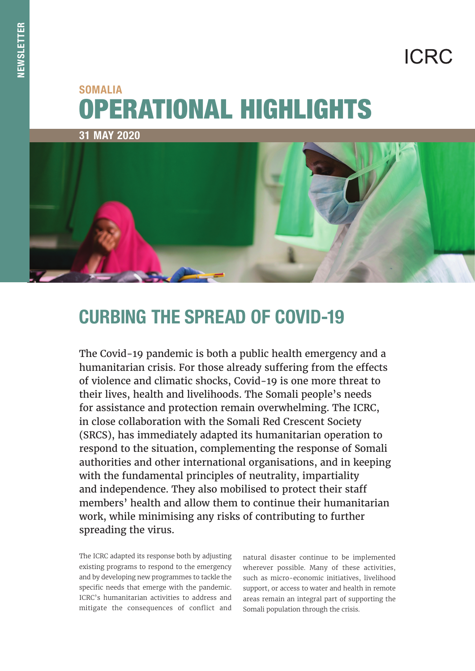# **ICRC**

## OPERATIONAL HIGHLIGHTS SOMALIA



## CURBING THE SPREAD OF COVID-19

The Covid-19 pandemic is both a public health emergency and a humanitarian crisis. For those already suffering from the effects of violence and climatic shocks, Covid-19 is one more threat to their lives, health and livelihoods. The Somali people's needs for assistance and protection remain overwhelming. The ICRC, in close collaboration with the Somali Red Crescent Society (SRCS), has immediately adapted its humanitarian operation to respond to the situation, complementing the response of Somali authorities and other international organisations, and in keeping with the fundamental principles of neutrality, impartiality and independence. They also mobilised to protect their staff members' health and allow them to continue their humanitarian work, while minimising any risks of contributing to further spreading the virus.

The ICRC adapted its response both by adjusting existing programs to respond to the emergency and by developing new programmes to tackle the specific needs that emerge with the pandemic. ICRC's humanitarian activities to address and mitigate the consequences of conflict and

natural disaster continue to be implemented wherever possible. Many of these activities, such as micro-economic initiatives, livelihood support, or access to water and health in remote areas remain an integral part of supporting the Somali population through the crisis.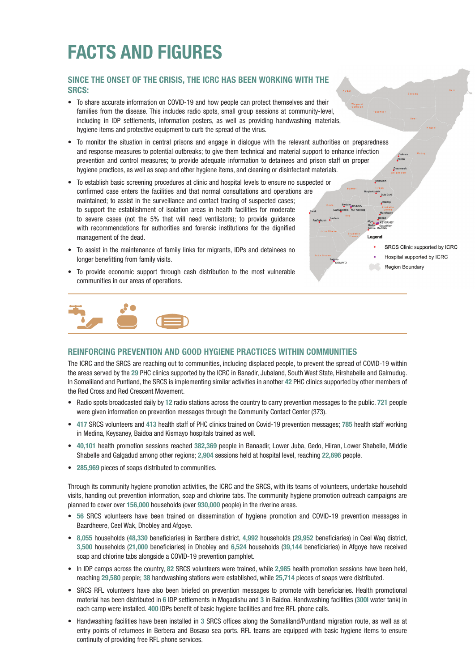## FACTS AND FIGURES

### SINCE THE ONSET OF THE CRISIS, THE ICRC HAS BEEN WORKING WITH THE SRCS:

- To share accurate information on COVID-19 and how people can protect themselves and their families from the disease. This includes radio spots, small group sessions at community-level, including in IDP settlements, information posters, as well as providing handwashing materials, hygiene items and protective equipment to curb the spread of the virus.
- To monitor the situation in central prisons and engage in dialogue with the relevant authorities on preparedness and response measures to potential outbreaks; to give them technical and material support to enhance infection prevention and control measures; to provide adequate information to detainees and prison staff on proper hygiene practices, as well as soap and other hygiene items, and cleaning or disinfectant materials.
- To establish basic screening procedures at clinic and hospital levels to ensure no suspected or confirmed case enters the facilities and that normal consultations and operations are maintained; to assist in the surveillance and contact tracing of suspected cases; to support the establishment of isolation areas in health facilities for moderate to severe cases (not the 5% that will need ventilators); to provide guidance with recommendations for authorities and forensic institutions for the dignified management of the dead.
- To assist in the maintenance of family links for migrants, IDPs and detainees no longer benefitting from family visits.
- To provide economic support through cash distribution to the most vulnerable communities in our areas of operations.



#### REINFORCING PREVENTION AND GOOD HYGIENE PRACTICES WITHIN COMMUNITIES

The ICRC and the SRCS are reaching out to communities, including displaced people, to prevent the spread of COVID-19 within the areas served by the 29 PHC clinics supported by the ICRC in Banadir, Jubaland, South West State, Hirshabelle and Galmudug. In Somaliland and Puntland, the SRCS is implementing similar activities in another 42 PHC clinics supported by other members of the Red Cross and Red Crescent Movement.

- Radio spots broadcasted daily by 12 radio stations across the country to carry prevention messages to the public. 721 people were given information on prevention messages through the Community Contact Center (373).
- 417 SRCS volunteers and 413 health staff of PHC clinics trained on Covid-19 prevention messages; 785 health staff working in Medina, Keysaney, Baidoa and Kismayo hospitals trained as well.
- 40,101 health promotion sessions reached 382,369 people in Banaadir, Lower Juba, Gedo, Hiiran, Lower Shabelle, Middle Shabelle and Galgadud among other regions; 2,904 sessions held at hospital level, reaching 22,696 people.
- 285,969 pieces of soaps distributed to communities.

Through its community hygiene promotion activities, the ICRC and the SRCS, with its teams of volunteers, undertake household visits, handing out prevention information, soap and chlorine tabs. The community hygiene promotion outreach campaigns are planned to cover over 156,000 households (over 930,000 people) in the riverine areas.

- 56 SRCS volunteers have been trained on dissemination of hygiene promotion and COVID-19 prevention messages in Baardheere, Ceel Wak, Dhobley and Afgoye.
- 8,055 households (48,330 beneficiaries) in Bardhere district, 4,992 households (29,952 beneficiaries) in Ceel Waq district, 3,500 households (21,000 beneficiaries) in Dhobley and 6,524 households (39,144 beneficiaries) in Afgoye have received soap and chlorine tabs alongside a COVID-19 prevention pamphlet.
- In IDP camps across the country, 82 SRCS volunteers were trained, while 2,985 health promotion sessions have been held, reaching 29,580 people; 38 handwashing stations were established, while 25,714 pieces of soaps were distributed.
- SRCS RFL volunteers have also been briefed on prevention messages to promote with beneficiaries. Health promotional material has been distributed in 6 IDP settlements in Mogadishu and 3 in Baidoa. Handwashing facilities (300l water tank) in each camp were installed. 400 IDPs benefit of basic hygiene facilities and free RFL phone calls.
- Handwashing facilities have been installed in 3 SRCS offices along the Somaliland/Puntland migration route, as well as at entry points of returnees in Berbera and Bosaso sea ports. RFL teams are equipped with basic hygiene items to ensure continuity of providing free RFL phone services.

SRCS Clinic supported by ICRC

```
Hospital supported by ICRC
```
Region Boundary